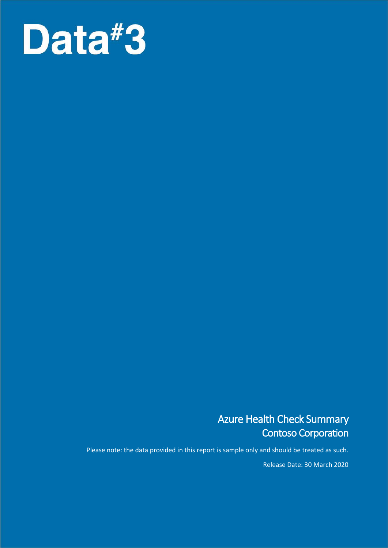

## Azure Health Check Summary Contoso Corporation

Please note: the data provided in this report is sample only and should be treated as such.

Release Date: 30 March 2020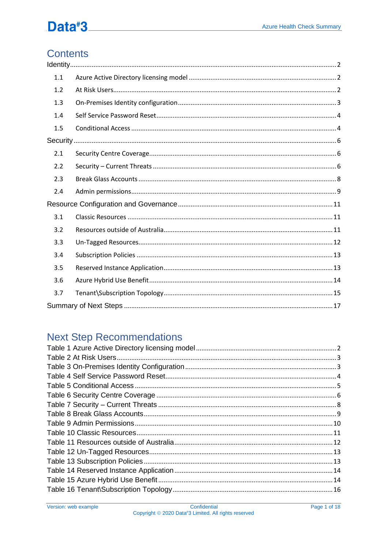## **Contents**

| 1.1 |  |
|-----|--|
| 1.2 |  |
| 1.3 |  |
| 1.4 |  |
| 1.5 |  |
|     |  |
| 2.1 |  |
| 2.2 |  |
| 2.3 |  |
| 2.4 |  |
|     |  |
| 3.1 |  |
| 3.2 |  |
| 3.3 |  |
| 3.4 |  |
| 3.5 |  |
| 3.6 |  |
| 3.7 |  |
|     |  |

## **Next Step Recommendations**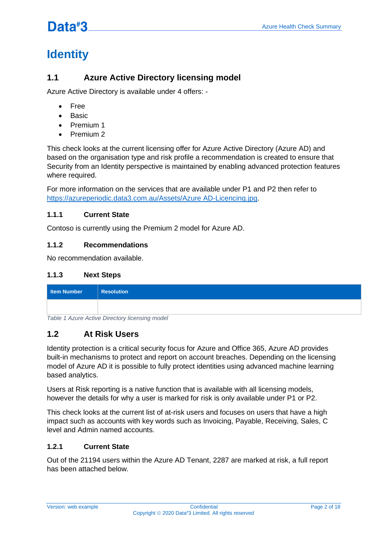## <span id="page-2-0"></span>**Identity**

## <span id="page-2-1"></span>**1.1 Azure Active Directory licensing model**

Azure Active Directory is available under 4 offers: -

- Free
- Basic
- Premium 1
- Premium 2

This check looks at the current licensing offer for Azure Active Directory (Azure AD) and based on the organisation type and risk profile a recommendation is created to ensure that Security from an Identity perspective is maintained by enabling advanced protection features where required.

For more information on the services that are available under P1 and P2 then refer to [https://azureperiodic.data3.com.au/Assets/Azure AD-Licencing.jpg.](https://azureperiodic.data3.com.au/Assets/AzureAD-Licencing.jpg)

### **1.1.1 Current State**

Contoso is currently using the Premium 2 model for Azure AD.

### **1.1.2 Recommendations**

No recommendation available.

### **1.1.3 Next Steps**

| Item Number | <b>Resolution</b> |
|-------------|-------------------|
|             |                   |

<span id="page-2-3"></span>*Table 1 Azure Active Directory licensing model*

### <span id="page-2-2"></span>**1.2 At Risk Users**

Identity protection is a critical security focus for Azure and Office 365, Azure AD provides built-in mechanisms to protect and report on account breaches. Depending on the licensing model of Azure AD it is possible to fully protect identities using advanced machine learning based analytics.

Users at Risk reporting is a native function that is available with all licensing models, however the details for why a user is marked for risk is only available under P1 or P2.

This check looks at the current list of at-risk users and focuses on users that have a high impact such as accounts with key words such as Invoicing, Payable, Receiving, Sales, C level and Admin named accounts.

### **1.2.1 Current State**

Out of the 21194 users within the Azure AD Tenant, 2287 are marked at risk, a full report has been attached below.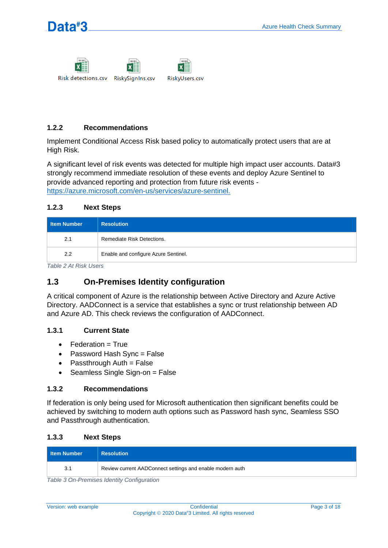



Risk detections.csv RiskySignIns.csv RiskyUsers.csv

### **1.2.2 Recommendations**

Implement Conditional Access Risk based policy to automatically protect users that are at High Risk.

A significant level of risk events was detected for multiple high impact user accounts. Data#3 strongly recommend immediate resolution of these events and deploy Azure Sentinel to provide advanced reporting and protection from future risk events [https://azure.microsoft.com/en-us/services/azure-sentinel.](https://azure.microsoft.com/en-us/services/azure-sentinel)

### **1.2.3 Next Steps**

| <b>I</b> Item Number | <b>Resolution</b>                    |
|----------------------|--------------------------------------|
| 2.1                  | Remediate Risk Detections.           |
| 2.2                  | Enable and configure Azure Sentinel. |

<span id="page-3-1"></span>*Table 2 At Risk Users*

### <span id="page-3-0"></span>**1.3 On-Premises Identity configuration**

A critical component of Azure is the relationship between Active Directory and Azure Active Directory. AADConnect is a service that establishes a sync or trust relationship between AD and Azure AD. This check reviews the configuration of AADConnect.

### **1.3.1 Current State**

- Federation = True
- Password Hash Sync = False
- $\bullet$  Passthrough Auth = False
- Seamless Single Sign-on = False

### **1.3.2 Recommendations**

If federation is only being used for Microsoft authentication then significant benefits could be achieved by switching to modern auth options such as Password hash sync, Seamless SSO and Passthrough authentication.

### **1.3.3 Next Steps**

| <b>I</b> Item Number | <b>Resolution</b>                                         |
|----------------------|-----------------------------------------------------------|
| 3.1                  | Review current AADConnect settings and enable modern auth |

<span id="page-3-2"></span>*Table 3 On-Premises Identity Configuration*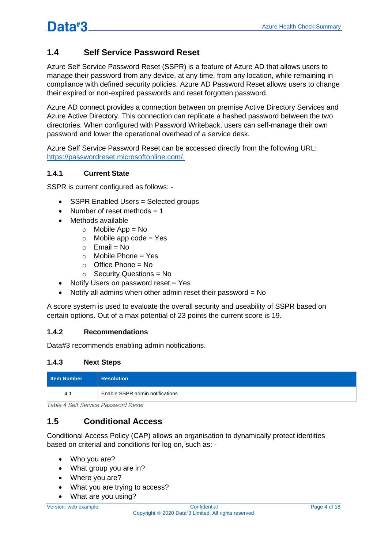## <span id="page-4-0"></span>**1.4 Self Service Password Reset**

Azure Self Service Password Reset (SSPR) is a feature of Azure AD that allows users to manage their password from any device, at any time, from any location, while remaining in compliance with defined security policies. Azure AD Password Reset allows users to change their expired or non-expired passwords and reset forgotten password.

Azure AD connect provides a connection between on premise Active Directory Services and Azure Active Directory. This connection can replicate a hashed password between the two directories. When configured with Password Writeback, users can self-manage their own password and lower the operational overhead of a service desk.

Azure Self Service Password Reset can be accessed directly from the following URL: [https://passwordreset.microsoftonline.com/.](https://passwordreset.microsoftonline.com/)

### **1.4.1 Current State**

SSPR is current configured as follows: -

- SSPR Enabled Users = Selected groups
- Number of reset methods  $= 1$
- Methods available
	- $\circ$  Mobile App = No
	- $\circ$  Mobile app code = Yes
	- $\circ$  Fmail = No
	- $\circ$  Mobile Phone = Yes
	- $\circ$  Office Phone = No
	- $\circ$  Security Questions = No
- Notify Users on password reset = Yes
- Notify all admins when other admin reset their password = No

A score system is used to evaluate the overall security and useability of SSPR based on certain options. Out of a max potential of 23 points the current score is 19.

### **1.4.2 Recommendations**

Data#3 recommends enabling admin notifications.

### **1.4.3 Next Steps**

| Item Number | <b>Resolution</b>               |
|-------------|---------------------------------|
| 4.1         | Enable SSPR admin notifications |

<span id="page-4-2"></span>*Table 4 Self Service Password Reset*

### <span id="page-4-1"></span>**1.5 Conditional Access**

Conditional Access Policy (CAP) allows an organisation to dynamically protect identities based on criterial and conditions for log on, such as: -

- Who you are?
- What group you are in?
- Where you are?
- What you are trying to access?
- What are you using?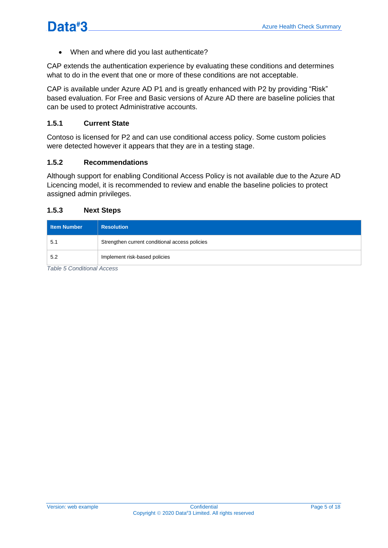• When and where did you last authenticate?

CAP extends the authentication experience by evaluating these conditions and determines what to do in the event that one or more of these conditions are not acceptable.

CAP is available under Azure AD P1 and is greatly enhanced with P2 by providing "Risk" based evaluation. For Free and Basic versions of Azure AD there are baseline policies that can be used to protect Administrative accounts.

### **1.5.1 Current State**

Contoso is licensed for P2 and can use conditional access policy. Some custom policies were detected however it appears that they are in a testing stage.

### **1.5.2 Recommendations**

Although support for enabling Conditional Access Policy is not available due to the Azure AD Licencing model, it is recommended to review and enable the baseline policies to protect assigned admin privileges.

#### **1.5.3 Next Steps**

| Item Number | <b>Resolution</b>                              |
|-------------|------------------------------------------------|
| 5.1         | Strengthen current conditional access policies |
| 5.2         | Implement risk-based policies                  |

<span id="page-5-0"></span>*Table 5 Conditional Access*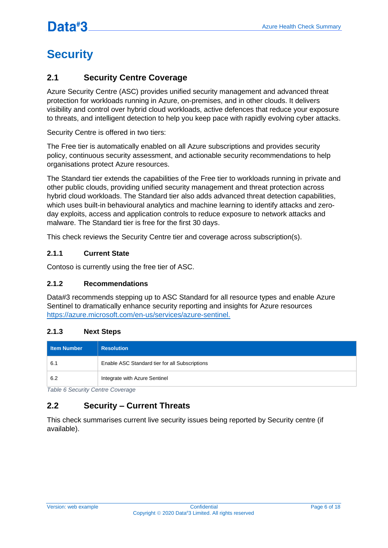## <span id="page-6-0"></span>**Security**

### <span id="page-6-1"></span>**2.1 Security Centre Coverage**

Azure Security Centre (ASC) provides unified security management and advanced threat protection for workloads running in Azure, on-premises, and in other clouds. It delivers visibility and control over hybrid cloud workloads, active defences that reduce your exposure to threats, and intelligent detection to help you keep pace with rapidly evolving cyber attacks.

Security Centre is offered in two tiers:

The Free tier is automatically enabled on all Azure subscriptions and provides security policy, continuous security assessment, and actionable security recommendations to help organisations protect Azure resources.

The Standard tier extends the capabilities of the Free tier to workloads running in private and other public clouds, providing unified security management and threat protection across hybrid cloud workloads. The Standard tier also adds advanced threat detection capabilities, which uses built-in behavioural analytics and machine learning to identify attacks and zeroday exploits, access and application controls to reduce exposure to network attacks and malware. The Standard tier is free for the first 30 days.

This check reviews the Security Centre tier and coverage across subscription(s).

### **2.1.1 Current State**

Contoso is currently using the free tier of ASC.

### **2.1.2 Recommendations**

Data#3 recommends stepping up to ASC Standard for all resource types and enable Azure Sentinel to dramatically enhance security reporting and insights for Azure resources [https://azure.microsoft.com/en-us/services/azure-sentinel.](https://azure.microsoft.com/en-us/services/azure-sentinel)

### **2.1.3 Next Steps**

| <b>I</b> Item Number | <b>Resolution</b>                              |
|----------------------|------------------------------------------------|
| 6.7                  | Enable ASC Standard tier for all Subscriptions |
| 6.2                  | Integrate with Azure Sentinel                  |

<span id="page-6-3"></span>*Table 6 Security Centre Coverage*

## <span id="page-6-2"></span>**2.2 Security – Current Threats**

This check summarises current live security issues being reported by Security centre (if available).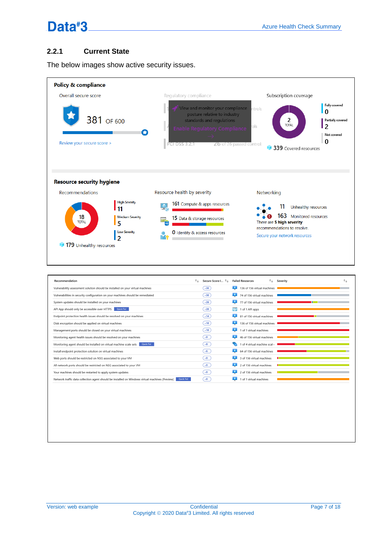### **2.2.1 Current State**

The below images show active security issues.

| Policy & compliance                      |                                      |                                                                                                                                                                                         |                                                                                                                                    |
|------------------------------------------|--------------------------------------|-----------------------------------------------------------------------------------------------------------------------------------------------------------------------------------------|------------------------------------------------------------------------------------------------------------------------------------|
| Overall secure score                     |                                      | Regulatory compliance                                                                                                                                                                   | Subscription coverage                                                                                                              |
| 381 OF 600<br>Review your secure score > | ÷                                    | View and monitor your compliance<br>posture relative to industry<br>standards and regulations<br><b>Enable Regulatory Compliance</b><br>26 of 26 passed control<br><b>PCI DSS 3.2.1</b> | Fully covered<br>ntrols<br>l٥<br>2<br>Partially covered<br><b>TOTAL</b><br>12<br>ols.<br>Not covered<br>O<br>339 Covered resources |
|                                          |                                      |                                                                                                                                                                                         |                                                                                                                                    |
| <b>Resource security hygiene</b>         |                                      |                                                                                                                                                                                         |                                                                                                                                    |
|                                          |                                      |                                                                                                                                                                                         |                                                                                                                                    |
| Recommendations                          |                                      | Resource health by severity                                                                                                                                                             | Networking                                                                                                                         |
|                                          | <b>High Severity</b><br>11           | <b>161</b> Compute & apps resources<br>$\mathbf{v}_c$                                                                                                                                   | 11<br>Unhealthy resources                                                                                                          |
| 18<br><b>TOTAL</b>                       | <b>Medium Severity</b><br>5          | <b>15</b> Data & storage resources                                                                                                                                                      | 163 Monitored resources<br>There are 5 high severity                                                                               |
|                                          | <b>Low Severity</b><br>$\mathcal{P}$ | <b>0</b> Identity & access resources                                                                                                                                                    | recommendations to resolve.<br>Secure your network resources                                                                       |

| Recommendation                                                                                                | Secure Score I 1 |          | <b>Failed Resources</b>     | Severity | ↑↓ |
|---------------------------------------------------------------------------------------------------------------|------------------|----------|-----------------------------|----------|----|
| Vulnerability assessment solution should be installed on your virtual machines                                | $+30$            |          | 136 of 156 virtual machines |          |    |
| Vulnerabilities in security configuration on your machines should be remediated                               | $+30$            |          | 74 of 156 virtual machines  |          |    |
| System updates should be installed on your machines                                                           | $+26$            | <u>o</u> | 77 of 156 virtual machines  |          |    |
| API App should only be accessible over HTTPS<br>Quick Fix!                                                    | $+20$            | لرجا     | 1 of 1 API apps             |          |    |
| Endpoint protection health issues should be resolved on your machines                                         | $+14$            |          | 81 of 156 virtual machines  |          |    |
| Disk encryption should be applied on virtual machines                                                         | $+10$            | LC.      | 136 of 156 virtual machines |          |    |
| Management ports should be closed on your virtual machines                                                    | $+10$            |          | 1 of 1 virtual machines     |          |    |
| Monitoring agent health issues should be resolved on your machines                                            | $+9$             |          | 46 of 156 virtual machines  |          |    |
| Monitoring agent should be installed on virtual machine scale sets<br><b>Quick Fix!</b>                       | $+8$             |          | 1 of 4 virtual machine scal |          |    |
| Install endpoint protection solution on virtual machines                                                      | $+6$             |          | 64 of 156 virtual machines  |          |    |
| Web ports should be restricted on NSG associated to your VM                                                   | $+0$             |          | 3 of 156 virtual machines   |          |    |
| All network ports should be restricted on NSG associated to your VM                                           | $+0$             | L.       | 2 of 156 virtual machines   |          |    |
| Your machines should be restarted to apply system updates                                                     | $+0$             |          | 2 of 156 virtual machines   |          |    |
| Network traffic data collection agent should be installed on Windows virtual machines (Preview)<br>Quick Fix! | $+0$             |          | 1 of 1 virtual machines     |          |    |
|                                                                                                               |                  |          |                             |          |    |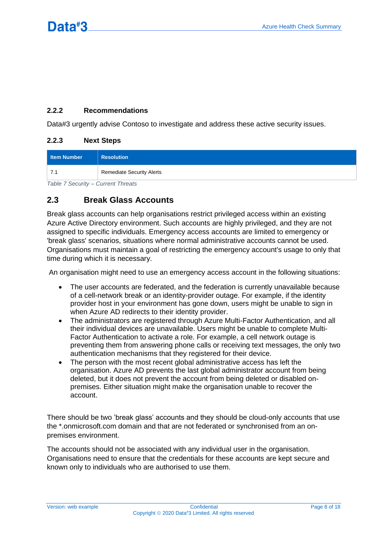### **2.2.2 Recommendations**

Data#3 urgently advise Contoso to investigate and address these active security issues.

### **2.2.3 Next Steps**

| Item Number                      | <b>Resolution</b>                |
|----------------------------------|----------------------------------|
|                                  | <b>Remediate Security Alerts</b> |
| Toble 7 Coourity Current Throate |                                  |

<span id="page-8-1"></span>*Table 7 Security – Current Threats*

### <span id="page-8-0"></span>**2.3 Break Glass Accounts**

Break glass accounts can help organisations restrict privileged access within an existing Azure Active Directory environment. Such accounts are highly privileged, and they are not assigned to specific individuals. Emergency access accounts are limited to emergency or 'break glass' scenarios, situations where normal administrative accounts cannot be used. Organisations must maintain a goal of restricting the emergency account's usage to only that time during which it is necessary.

An organisation might need to use an emergency access account in the following situations:

- The user accounts are federated, and the federation is currently unavailable because of a cell-network break or an identity-provider outage. For example, if the identity provider host in your environment has gone down, users might be unable to sign in when Azure AD redirects to their identity provider.
- The administrators are registered through Azure Multi-Factor Authentication, and all their individual devices are unavailable. Users might be unable to complete Multi-Factor Authentication to activate a role. For example, a cell network outage is preventing them from answering phone calls or receiving text messages, the only two authentication mechanisms that they registered for their device.
- The person with the most recent global administrative access has left the organisation. Azure AD prevents the last global administrator account from being deleted, but it does not prevent the account from being deleted or disabled onpremises. Either situation might make the organisation unable to recover the account.

There should be two 'break glass' accounts and they should be cloud-only accounts that use the \*.onmicrosoft.com domain and that are not federated or synchronised from an onpremises environment.

The accounts should not be associated with any individual user in the organisation. Organisations need to ensure that the credentials for these accounts are kept secure and known only to individuals who are authorised to use them.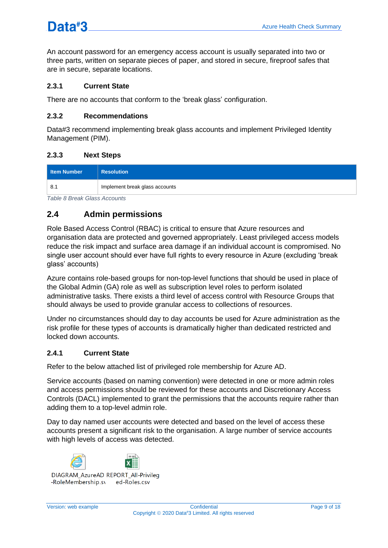An account password for an emergency access account is usually separated into two or three parts, written on separate pieces of paper, and stored in secure, fireproof safes that are in secure, separate locations.

### **2.3.1 Current State**

There are no accounts that conform to the 'break glass' configuration.

### **2.3.2 Recommendations**

Data#3 recommend implementing break glass accounts and implement Privileged Identity Management (PIM).

### **2.3.3 Next Steps**

| Item Number | <b>Resolution</b>              |
|-------------|--------------------------------|
| -8.1        | Implement break glass accounts |

<span id="page-9-1"></span>*Table 8 Break Glass Accounts*

## <span id="page-9-0"></span>**2.4 Admin permissions**

Role Based Access Control (RBAC) is critical to ensure that Azure resources and organisation data are protected and governed appropriately. Least privileged access models reduce the risk impact and surface area damage if an individual account is compromised. No single user account should ever have full rights to every resource in Azure (excluding 'break glass' accounts)

Azure contains role-based groups for non-top-level functions that should be used in place of the Global Admin (GA) role as well as subscription level roles to perform isolated administrative tasks. There exists a third level of access control with Resource Groups that should always be used to provide granular access to collections of resources.

Under no circumstances should day to day accounts be used for Azure administration as the risk profile for these types of accounts is dramatically higher than dedicated restricted and locked down accounts.

### **2.4.1 Current State**

Refer to the below attached list of privileged role membership for Azure AD.

Service accounts (based on naming convention) were detected in one or more admin roles and access permissions should be reviewed for these accounts and Discretionary Access Controls (DACL) implemented to grant the permissions that the accounts require rather than adding them to a top-level admin role.

Day to day named user accounts were detected and based on the level of access these accounts present a significant risk to the organisation. A large number of service accounts with high levels of access was detected.

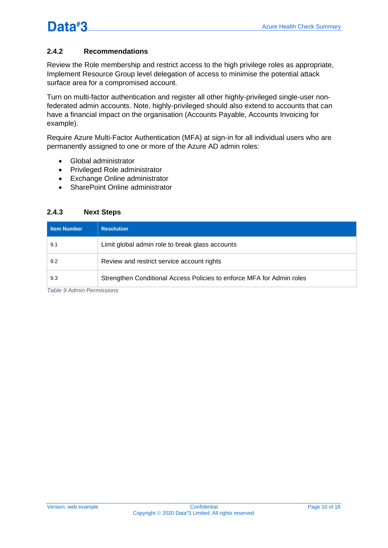### **2.4.2 Recommendations**

Review the Role membership and restrict access to the high privilege roles as appropriate, Implement Resource Group level delegation of access to minimise the potential attack surface area for a compromised account.

Turn on multi-factor authentication and register all other highly-privileged single-user nonfederated admin accounts. Note, highly-privileged should also extend to accounts that can have a financial impact on the organisation (Accounts Payable, Accounts Invoicing for example).

Require Azure Multi-Factor Authentication (MFA) at sign-in for all individual users who are permanently assigned to one or more of the Azure AD admin roles:

- Global administrator
- Privileged Role administrator
- Exchange Online administrator
- SharePoint Online administrator

### **2.4.3 Next Steps**

| <b>Item Number</b> | <b>Resolution</b>                                                     |
|--------------------|-----------------------------------------------------------------------|
| 9.1                | Limit global admin role to break glass accounts                       |
| 9.2                | Review and restrict service account rights                            |
| 9.3                | Strengthen Conditional Access Policies to enforce MFA for Admin roles |

<span id="page-10-0"></span>*Table 9 Admin Permissions*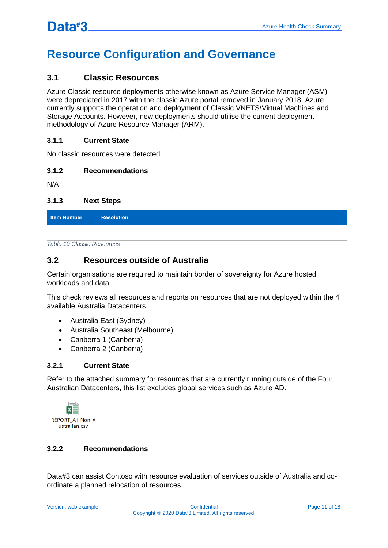## <span id="page-11-0"></span>**Resource Configuration and Governance**

### <span id="page-11-1"></span>**3.1 Classic Resources**

Azure Classic resource deployments otherwise known as Azure Service Manager (ASM) were depreciated in 2017 with the classic Azure portal removed in January 2018. Azure currently supports the operation and deployment of Classic VNETS\Virtual Machines and Storage Accounts. However, new deployments should utilise the current deployment methodology of Azure Resource Manager (ARM).

### **3.1.1 Current State**

No classic resources were detected.

### **3.1.2 Recommendations**

N/A

### **3.1.3 Next Steps**

| Item Number | <b>Resolution</b> |
|-------------|-------------------|
|             |                   |

<span id="page-11-3"></span>*Table 10 Classic Resources*

### <span id="page-11-2"></span>**3.2 Resources outside of Australia**

Certain organisations are required to maintain border of sovereignty for Azure hosted workloads and data.

This check reviews all resources and reports on resources that are not deployed within the 4 available Australia Datacenters.

- Australia East (Sydney)
- Australia Southeast (Melbourne)
- Canberra 1 (Canberra)
- Canberra 2 (Canberra)

### **3.2.1 Current State**

Refer to the attached summary for resources that are currently running outside of the Four Australian Datacenters, this list excludes global services such as Azure AD.



### **3.2.2 Recommendations**

Data#3 can assist Contoso with resource evaluation of services outside of Australia and coordinate a planned relocation of resources.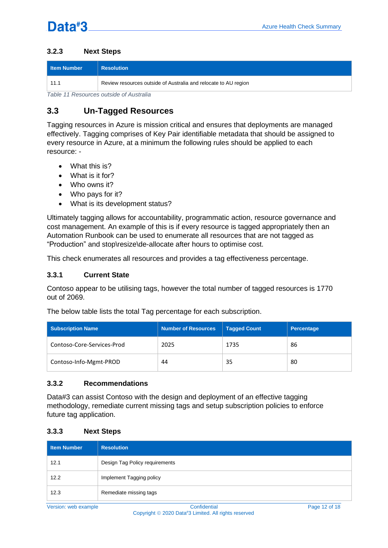### **3.2.3 Next Steps**

| <b>I</b> Item Number                    | <b>Resolution</b>                                               |  |  |  |
|-----------------------------------------|-----------------------------------------------------------------|--|--|--|
|                                         | Review resources outside of Australia and relocate to AU region |  |  |  |
| Table 11 Descurses outside of Augtralia |                                                                 |  |  |  |

<span id="page-12-1"></span>*Table 11 Resources outside of Australia*

## <span id="page-12-0"></span>**3.3 Un-Tagged Resources**

Tagging resources in Azure is mission critical and ensures that deployments are managed effectively. Tagging comprises of Key Pair identifiable metadata that should be assigned to every resource in Azure, at a minimum the following rules should be applied to each resource: -

- What this is?
- What is it for?
- Who owns it?
- Who pays for it?
- What is its development status?

Ultimately tagging allows for accountability, programmatic action, resource governance and cost management. An example of this is if every resource is tagged appropriately then an Automation Runbook can be used to enumerate all resources that are not tagged as "Production" and stop\resize\de-allocate after hours to optimise cost.

This check enumerates all resources and provides a tag effectiveness percentage.

### **3.3.1 Current State**

Contoso appear to be utilising tags, however the total number of tagged resources is 1770 out of 2069.

The below table lists the total Tag percentage for each subscription.

| Subscription Name          | <b>Number of Resources</b> | Tagged Count | Percentage |
|----------------------------|----------------------------|--------------|------------|
| Contoso-Core-Services-Prod | 2025                       | 1735         | 86         |
| Contoso-Info-Mgmt-PROD     | 44                         | 35           | 80         |

### **3.3.2 Recommendations**

Data#3 can assist Contoso with the design and deployment of an effective tagging methodology, remediate current missing tags and setup subscription policies to enforce future tag application.

### **3.3.3 Next Steps**

| <b>Item Number</b> | <b>Resolution</b>              |
|--------------------|--------------------------------|
| 12.1               | Design Tag Policy requirements |
| 12.2               | Implement Tagging policy       |
| 12.3               | Remediate missing tags         |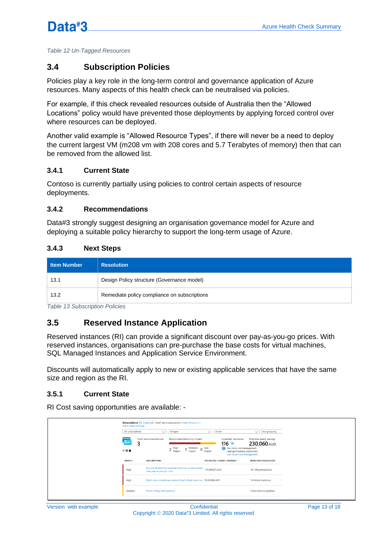<span id="page-13-2"></span>*Table 12 Un-Tagged Resources*

### <span id="page-13-0"></span>**3.4 Subscription Policies**

Policies play a key role in the long-term control and governance application of Azure resources. Many aspects of this health check can be neutralised via policies.

For example, if this check revealed resources outside of Australia then the "Allowed Locations" policy would have prevented those deployments by applying forced control over where resources can be deployed.

Another valid example is "Allowed Resource Types", if there will never be a need to deploy the current largest VM (m208 vm with 208 cores and 5.7 Terabytes of memory) then that can be removed from the allowed list.

### **3.4.1 Current State**

Contoso is currently partially using policies to control certain aspects of resource deployments.

### **3.4.2 Recommendations**

Data#3 strongly suggest designing an organisation governance model for Azure and deploying a suitable policy hierarchy to support the long-term usage of Azure.

### **3.4.3 Next Steps**

| Item Number | <b>Resolution</b>                            |
|-------------|----------------------------------------------|
| 13.1        | Design Policy structure (Governance model)   |
| 13.2        | Remediate policy compliance on subscriptions |

<span id="page-13-3"></span>*Table 13 Subscription Policies*

### <span id="page-13-1"></span>**3.5 Reserved Instance Application**

Reserved instances (RI) can provide a significant discount over pay-as-you-go prices. With reserved instances, organisations can pre-purchase the base costs for virtual machines, SQL Managed Instances and Application Service Environment.

Discounts will automatically apply to new or existing applicable services that have the same size and region as the RI.

### **3.5.1 Current State**

RI Cost saving opportunities are available: -

| <b>Subscription settings</b>           | <b>Subscriptions: All 2 selected - Don't see a subscription? Open Directory +</b>                                    |                                                                                                                                                             |                                                               |
|----------------------------------------|----------------------------------------------------------------------------------------------------------------------|-------------------------------------------------------------------------------------------------------------------------------------------------------------|---------------------------------------------------------------|
| All subscriptions<br>e.<br>з<br>11 M H | All types<br>$\checkmark$<br><b>Total recommendations</b><br>Recommendations by impact<br>Medium<br>2 High<br>impact | Active<br>$\checkmark$<br>Impacted resources<br>116<br>For more cost management<br>$0$ Low<br>and optimization capabilities,<br>visit Azure Cost Management | $\vee$ No grouping<br>Potential yearly savings<br>230,060 AUD |
| <b>IMPACT</b>                          | <b>DESCRIPTION</b>                                                                                                   | POTENTIAL YEARLY SAVINGS*                                                                                                                                   | <b>IMPACTED RESOURCES</b>                                     |
| High                                   | Buy virtual machine reserved instances to save money<br>over pay-as-you-go costs                                     | 179,435.67 AUD                                                                                                                                              | 101 Virtual machines                                          |
| High                                   | Right-size or shutdown underutilized virtual machines 50,624.06 AUD                                                  |                                                                                                                                                             | 14 Virtual machines                                           |
| Medium                                 | Delete failing ADF pipelines                                                                                         |                                                                                                                                                             | 3 Data factory pipelines                                      |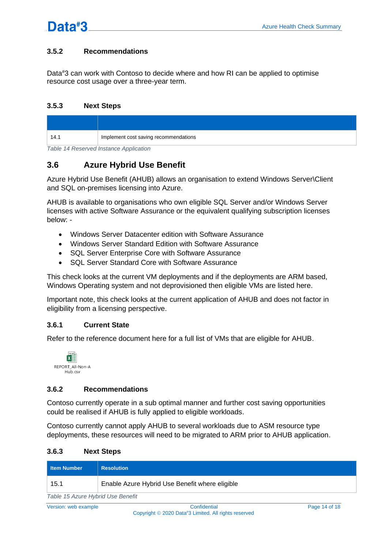### **3.5.2 Recommendations**

Data#3 can work with Contoso to decide where and how RI can be applied to optimise resource cost usage over a three-year term.

#### **3.5.3 Next Steps**

| 14.1 | Implement cost saving recommendations |
|------|---------------------------------------|

<span id="page-14-1"></span>*Table 14 Reserved Instance Application*

### <span id="page-14-0"></span>**3.6 Azure Hybrid Use Benefit**

Azure Hybrid Use Benefit (AHUB) allows an organisation to extend Windows Server\Client and SQL on-premises licensing into Azure.

AHUB is available to organisations who own eligible SQL Server and/or Windows Server licenses with active Software Assurance or the equivalent qualifying subscription licenses below: -

- Windows Server Datacenter edition with Software Assurance
- Windows Server Standard Edition with Software Assurance
- SQL Server Enterprise Core with Software Assurance
- SQL Server Standard Core with Software Assurance

This check looks at the current VM deployments and if the deployments are ARM based, Windows Operating system and not deprovisioned then eligible VMs are listed here.

Important note, this check looks at the current application of AHUB and does not factor in eligibility from a licensing perspective.

### **3.6.1 Current State**

Refer to the reference document here for a full list of VMs that are eligible for AHUB.



#### **3.6.2 Recommendations**

Contoso currently operate in a sub optimal manner and further cost saving opportunities could be realised if AHUB is fully applied to eligible workloads.

Contoso currently cannot apply AHUB to several workloads due to ASM resource type deployments, these resources will need to be migrated to ARM prior to AHUB application.

#### **3.6.3 Next Steps**

| <b>I</b> Item Number              | <b>Resolution</b>                              |  |  |  |
|-----------------------------------|------------------------------------------------|--|--|--|
| 15.1                              | Enable Azure Hybrid Use Benefit where eligible |  |  |  |
| Table 15 Azure Hybrid Use Benefit |                                                |  |  |  |

<span id="page-14-2"></span>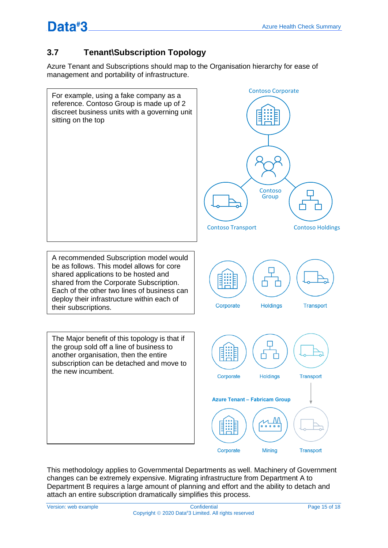## <span id="page-15-0"></span>**3.7 Tenant\Subscription Topology**

Azure Tenant and Subscriptions should map to the Organisation hierarchy for ease of management and portability of infrastructure.



This methodology applies to Governmental Departments as well. Machinery of Government changes can be extremely expensive. Migrating infrastructure from Department A to Department B requires a large amount of planning and effort and the ability to detach and attach an entire subscription dramatically simplifies this process.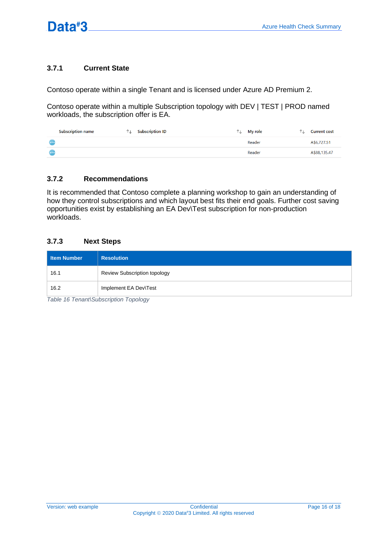### **3.7.1 Current State**

Contoso operate within a single Tenant and is licensed under Azure AD Premium 2.

Contoso operate within a multiple Subscription topology with DEV | TEST | PROD named workloads, the subscription offer is EA.

| <b>Subscription name</b> | ↑⊥ | <b>Subscription ID</b> | ↑↓ | <b>My role</b> | ٦L. | <b>Current cost</b> |
|--------------------------|----|------------------------|----|----------------|-----|---------------------|
| $\ddotsc$                |    |                        |    | Reader         |     | A\$6,727.51         |
| <b>CON</b>               |    |                        |    | Reader         |     | A\$88,135.47        |

### **3.7.2 Recommendations**

It is recommended that Contoso complete a planning workshop to gain an understanding of how they control subscriptions and which layout best fits their end goals. Further cost saving opportunities exist by establishing an EA Dev\Test subscription for non-production workloads.

### **3.7.3 Next Steps**

| Item Number | <b>Resolution</b>                   |
|-------------|-------------------------------------|
| 16.1        | <b>Review Subscription topology</b> |
| 16.2        | Implement EA Dev\Test               |

<span id="page-16-0"></span>*Table 16 Tenant\Subscription Topology*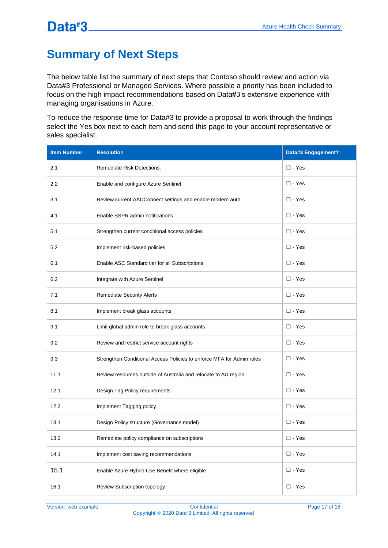## <span id="page-17-0"></span>**Summary of Next Steps**

The below table list the summary of next steps that Contoso should review and action via Data#3 Professional or Managed Services. Where possible a priority has been included to focus on the high impact recommendations based on Data#3's extensive experience with managing organisations in Azure.

To reduce the response time for Data#3 to provide a proposal to work through the findings select the Yes box next to each item and send this page to your account representative or sales specialist.

| <b>Item Number</b> | <b>Resolution</b>                                                     | Data#3 Engagement? |
|--------------------|-----------------------------------------------------------------------|--------------------|
| 2.1                | Remediate Risk Detections.                                            | $\square$ - Yes    |
| $2.2\phantom{0}$   | Enable and configure Azure Sentinel                                   | $\square$ - Yes    |
| 3.1                | Review current AADConnect settings and enable modern auth             | $\square$ - Yes    |
| 4.1                | Enable SSPR admin notifications                                       | $\square$ - Yes    |
| 5.1                | Strengthen current conditional access policies                        | $\square$ - Yes    |
| 5.2                | Implement risk-based policies                                         | $\square$ - Yes    |
| 6.1                | Enable ASC Standard tier for all Subscriptions                        | $\square$ - Yes    |
| 6.2                | Integrate with Azure Sentinel                                         | $\square$ - Yes    |
| 7.1                | <b>Remediate Security Alerts</b>                                      | $\Box$ - Yes       |
| 8.1                | Implement break glass accounts                                        | $\Box$ - Yes       |
| 9.1                | Limit global admin role to break glass accounts                       | $\square$ - Yes    |
| 9.2                | Review and restrict service account rights                            | $\square$ - Yes    |
| 9.3                | Strengthen Conditional Access Policies to enforce MFA for Admin roles | $\square$ - Yes    |
| 11.1               | Review resources outside of Australia and relocate to AU region       | $\square$ - Yes    |
| 12.1               | Design Tag Policy requirements                                        | $\square$ - Yes    |
| 12.2               | Implement Tagging policy                                              | $\square$ - Yes    |
| 13.1               | Design Policy structure (Governance model)                            | $\square$ - Yes    |
| 13.2               | Remediate policy compliance on subscriptions                          | $\square$ - Yes    |
| 14.1               | Implement cost saving recommendations                                 | $\square$ - Yes    |
| 15.1               | Enable Azure Hybrid Use Benefit where eligible                        | $\square$ - Yes    |
| 16.1               | Review Subscription topology                                          | $\square$ - Yes    |